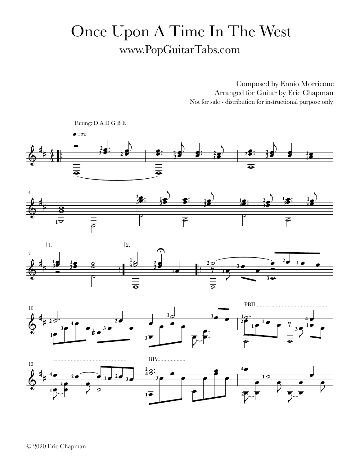## Once Upon A Time In The West www.PopGuitarTabs.com

Composed by Ennio Morricone Arranged for Guitar by Eric Chapman Not for sale - distribution for instructional purpose only.